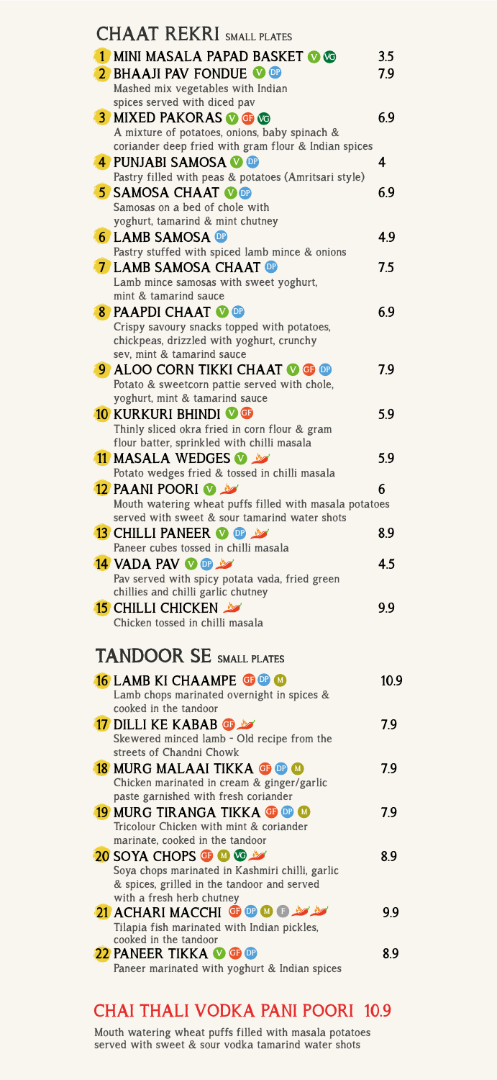| <b>CHAAT REKRI</b> SMALL PLATES                                                                       |      |
|-------------------------------------------------------------------------------------------------------|------|
| 1 MINI MASALA PAPAD BASKET OG                                                                         | 3.5  |
| 2 BHAAJI PAV FONDUE OOP                                                                               | 7.9  |
| Mashed mix vegetables with Indian                                                                     |      |
| spices served with diced pav                                                                          |      |
| <b>3 MIXED PAKORAS O G WG</b>                                                                         | 6.9  |
| A mixture of potatoes, onions, baby spinach &<br>coriander deep fried with gram flour & Indian spices |      |
| 4 PUNJABI SAMOSA O OB                                                                                 | 4    |
| Pastry filled with peas & potatoes (Amritsari style)                                                  |      |
| <b>5 SAMOSA CHAAT OF</b>                                                                              | 6.9  |
| Samosas on a bed of chole with                                                                        |      |
| yoghurt, tamarind & mint chutney                                                                      |      |
| <b>6 LAMB SAMOSA OF</b>                                                                               | 4.9  |
| Pastry stuffed with spiced lamb mince & onions                                                        |      |
| <b>7 LAMB SAMOSA CHAAT OF</b>                                                                         | 7.5  |
| Lamb mince samosas with sweet yoghurt,<br>mint & tamarind sauce                                       |      |
| 8 PAAPDI CHAAT OF                                                                                     | 6.9  |
| Crispy savoury snacks topped with potatoes,                                                           |      |
| chickpeas, drizzled with yoghurt, crunchy                                                             |      |
| sev, mint & tamarind sauce                                                                            |      |
| <b>9 ALOO CORN TIKKI CHAAT OG OF</b>                                                                  | 79   |
| Potato & sweetcorn pattie served with chole,                                                          |      |
| yoghurt, mint & tamarind sauce                                                                        |      |
| <b>10 KURKURI BHINDI V G</b><br>Thinly sliced okra fried in corn flour & gram                         | 5.9  |
| flour batter, sprinkled with chilli masala                                                            |      |
| 11 MASALA WEDGES <b>1</b>                                                                             | 5.9  |
| Potato wedges fried & tossed in chilli masala                                                         |      |
| 12 PAANI POORI <b>W</b>                                                                               | 6    |
| Mouth watering wheat puffs filled with masala potatoes                                                |      |
| served with sweet & sour tamarind water shots                                                         |      |
| <b>13 CHILLI PANEER OF LAN</b>                                                                        | 8.9  |
| Paneer cubes tossed in chilli masala                                                                  |      |
| <b>14 VADA PAV &amp; OF A</b>                                                                         | 4.5  |
| Pav served with spicy potata vada, fried green<br>chillies and chilli garlic chutney                  |      |
| <b>15</b> CHILLI CHICKEN                                                                              | 9.9  |
| Chicken tossed in chilli masala                                                                       |      |
|                                                                                                       |      |
| <b>TANDOOR SE SMALL PLATES</b>                                                                        |      |
|                                                                                                       |      |
| <b>16 LAMB KI CHAAMPE TO OD</b>                                                                       | 10.9 |
| Lamb chops marinated overnight in spices &<br>cooked in the tandoor                                   |      |
| 17 DILLI KE KABAB GB                                                                                  | 7.9  |
| Skewered minced lamb - Old recipe from the                                                            |      |
| streets of Chandni Chowk                                                                              |      |
| <b>18 MURG MALAAI TIKKA G OP M</b>                                                                    | 79   |
| Chicken marinated in cream & ginger/garlic                                                            |      |
| paste garnished with fresh coriander                                                                  |      |
| <b>19 MURG TIRANGA TIKKA GP OP M</b>                                                                  | 7.9  |
| Tricolour Chicken with mint & coriander<br>marinate, cooked in the tandoor                            |      |
| 20 SOYA CHOPS <b>+ 10 to 2</b>                                                                        | 8.9  |
| Soya chops marinated in Kashmiri chilli, garlic                                                       |      |
| & spices, grilled in the tandoor and served                                                           |      |
| with a fresh herb chutney                                                                             |      |
| 21 ACHARIMACCHI GIDD GIDD Y                                                                           | 9.9  |
| Tilapia fish marinated with Indian pickles,<br>cooked in the tandoor                                  |      |
| 22 PANEER TIKKA O O O                                                                                 | 8.9  |
| Paneer marinated with yoghurt & Indian spices                                                         |      |
|                                                                                                       |      |

## **CHAI THALI VODKA PANI POORI 10.9**

**Mouth watering wheat puffs filled with masala potatoes served with sweet & sour vodka tamarind water shots**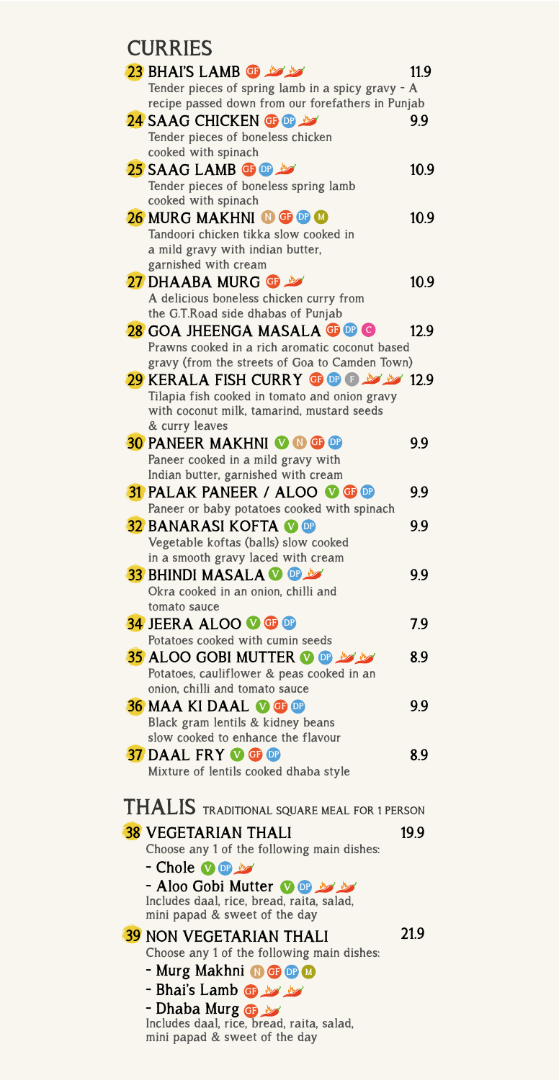### **CURRIES**

| CUNNIES                                                                   |      |
|---------------------------------------------------------------------------|------|
| 23 BHAI'S LAMB <b>6</b> 23                                                | 11.9 |
| Tender pieces of spring lamb in a spicy gravy - A                         |      |
| recipe passed down from our forefathers in Punjab                         |      |
| <b>24 SAAG CHICKEN GOOD AST</b>                                           | 9.9  |
| Tender pieces of boneless chicken                                         |      |
| cooked with spinach                                                       |      |
| 25 SAAG LAMB <b>G of 25</b>                                               | 10.9 |
| Tender pieces of boneless spring lamb                                     |      |
| cooked with spinach                                                       |      |
|                                                                           |      |
| 26 MURG MAKHNI O G O O                                                    | 10.9 |
| Tandoori chicken tikka slow cooked in                                     |      |
| a mild gravy with indian butter,                                          |      |
| garnished with cream                                                      |      |
| 27 DHAABA MURG @                                                          | 10.9 |
| A delicious boneless chicken curry from                                   |      |
| the G.T.Road side dhabas of Punjab                                        |      |
| 28 GOA JHEENGA MASALA G O G                                               | 12.9 |
| Prawns cooked in a rich aromatic coconut based                            |      |
| gravy (from the streets of Goa to Camden Town)                            |      |
| 12.9 XERALA FISH CURRY <b>@ @ @ W 29</b> 12.9                             |      |
| Tilapia fish cooked in tomato and onion gravy                             |      |
| with coconut milk, tamarind, mustard seeds                                |      |
| & curry leaves                                                            |      |
| <b>30 PANEER MAKHNI O O G OP</b>                                          | 9.9  |
| Paneer cooked in a mild gravy with                                        |      |
| Indian butter, garnished with cream                                       |      |
| <b>31 PALAK PANEER / ALOO OG GP</b>                                       | 9.9  |
| Paneer or baby potatoes cooked with spinach                               |      |
| <b>32 BANARASI KOFTA O OP</b>                                             | 9.9  |
| Vegetable koftas (balls) slow cooked                                      |      |
| in a smooth gravy laced with cream                                        |      |
| <b>33 BHINDI MASALA O OD AST</b>                                          | 9.9  |
| Okra cooked in an onion, chilli and                                       |      |
| tomato sauce                                                              |      |
|                                                                           |      |
| <b>34 JEERA ALOO OG GB</b>                                                | 7.9  |
| Potatoes cooked with cumin seeds                                          |      |
| <b>35 ALOO GOBI MUTTER OF MY MY</b>                                       | 8.9  |
| Potatoes, cauliflower & peas cooked in an                                 |      |
| onion, chilli and tomato sauce                                            |      |
| <b>36 MAA KI DAAL OG OF</b>                                               | 9.9  |
| Black gram lentils & kidney beans                                         |      |
| slow cooked to enhance the flavour                                        |      |
| <b>37 DAAL FRY OF OP</b>                                                  | 8.9  |
| Mixture of lentils cooked dhaba style                                     |      |
|                                                                           |      |
| <b>THALIS</b> TRADITIONAL SQUARE MEAL FOR 1 PERSON                        |      |
|                                                                           |      |
| <b>38 VEGETARIAN THALI</b>                                                | 19.9 |
| Choose any 1 of the following main dishes:                                |      |
| - Chole Vor                                                               |      |
|                                                                           |      |
| - Aloo Gobi Mutter <b>OD</b><br>Includes daal, rice, bread, raita, salad, |      |
| mini papad & sweet of the day                                             |      |
|                                                                           |      |
| <b>39 NON VEGETARIAN THALI</b>                                            | 21.9 |
| Choose any 1 of the following main dishes:                                |      |
| - Murg Makhni OGOO                                                        |      |
| - Bhai's Lamb <b>G &amp; &amp;</b>                                        |      |
| - Dhaba Murg @                                                            |      |
| Includes daal, rice, bread, raita, salad,                                 |      |
|                                                                           |      |

**mini papad & sweet of the day**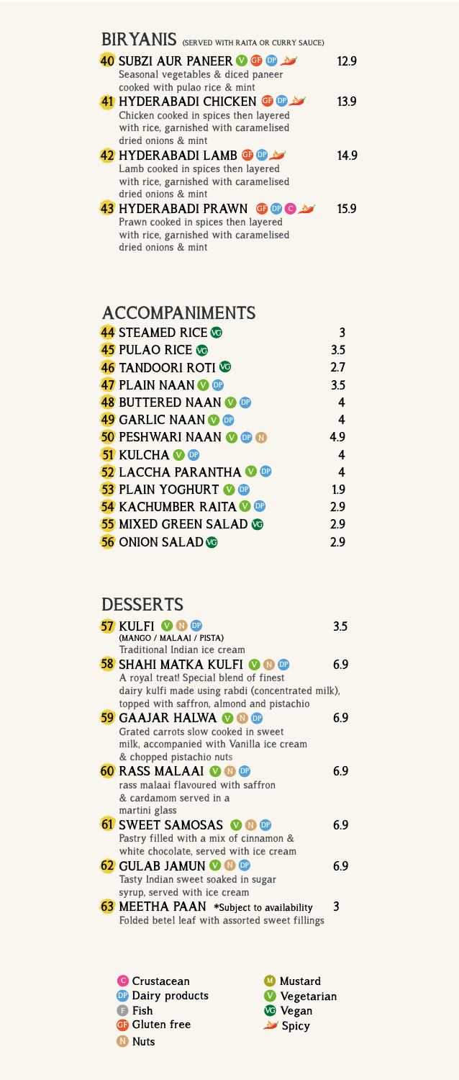| BIRYANIS (SERVED WITH RAITA OR CURRY SAUCE)                                  |      |
|------------------------------------------------------------------------------|------|
| <b>40 SUBZI AUR PANEER OF OP 197</b>                                         | 12 9 |
| Seasonal vegetables & diced paneer<br>cooked with pulao rice & mint          |      |
| <b>41 HYDERABADI CHICKEN GP DP</b><br>Chicken cooked in spices then layered  | 13.9 |
| with rice, garnished with caramelised                                        |      |
| dried onions & mint<br>42 HYDERABADI LAMB <b>or</b> or the                   | 14 9 |
| Lamb cooked in spices then layered                                           |      |
| with rice, garnished with caramelised<br>dried onions & mint                 |      |
| <b>43 HYDERABADI PRAWN GOOD A</b>                                            | 15 9 |
| Prawn cooked in spices then layered<br>with rice, garnished with caramelised |      |
| dried onions & mint                                                          |      |

## **ACCOMPANIMENTS**

| <b>44 STEAMED RICE VO</b>       | 3   |
|---------------------------------|-----|
| <b>45 PULAO RICE CO</b>         | 3.5 |
| <b>46 TANDOORI ROTI</b>         | 2.7 |
| <b>47 PLAIN NAAN V OP</b>       | 3.5 |
| <b>48 BUTTERED NAAN OD</b>      | 4   |
| <b>49 GARLIC NAAN OP</b>        | 4   |
| <b>50 PESHWARI NAAN V OP OP</b> | 49  |
| <b>51 KULCHA O OP</b>           | 4   |
| <b>52 LACCHA PARANTHA O OP</b>  | 4   |
| <b>53 PLAIN YOGHURT OF</b>      | 1.9 |
| <b>54 KACHUMBER RAITA O OP</b>  | 2.9 |
| <b>55 MIXED GREEN SALAD CO</b>  | 2.9 |
| <b>56 ONION SALAD</b>           | 2.9 |

## **DESSERTS**

| <b>57 KULFI V N ®</b>                             | 35  |
|---------------------------------------------------|-----|
| (MANGO / MALAAI / PISTA)                          |     |
| Traditional Indian ice cream                      |     |
| <b>58 SHAHI MATKA KULFI © ® ®</b>                 | 6.9 |
| A royal treat! Special blend of finest            |     |
| dairy kulfi made using rabdi (concentrated milk), |     |
| topped with saffron, almond and pistachio         |     |
| <b>59 GAAJAR HALWA OO OD</b>                      | 69  |
| Grated carrots slow cooked in sweet               |     |
| milk, accompanied with Vanilla ice cream          |     |
| & chopped pistachio nuts                          |     |
| <b>60 RASS MALAAI OO OD</b>                       | 69  |
| rass malaai flavoured with saffron                |     |
| & cardamom served in a                            |     |
| martini glass                                     |     |
| <b>61 SWEET SAMOSAS O O O</b>                     | 69  |
| Pastry filled with a mix of cinnamon &            |     |
| white chocolate, served with ice cream            |     |
| <b>62 GULAB JAMUN © ® ®</b>                       | 69  |
| Tasty Indian sweet soaked in sugar                |     |
| syrup, served with ice cream                      |     |
| 63 MEETHA PAAN *Subject to availability           | 3   |
| Folded betel leaf with assorted sweet fillings    |     |

**N Nuts GF Gluten free DP Dairy products C Crustacean F Fish**

**Spicy V Vegetarian VG VeganMustard**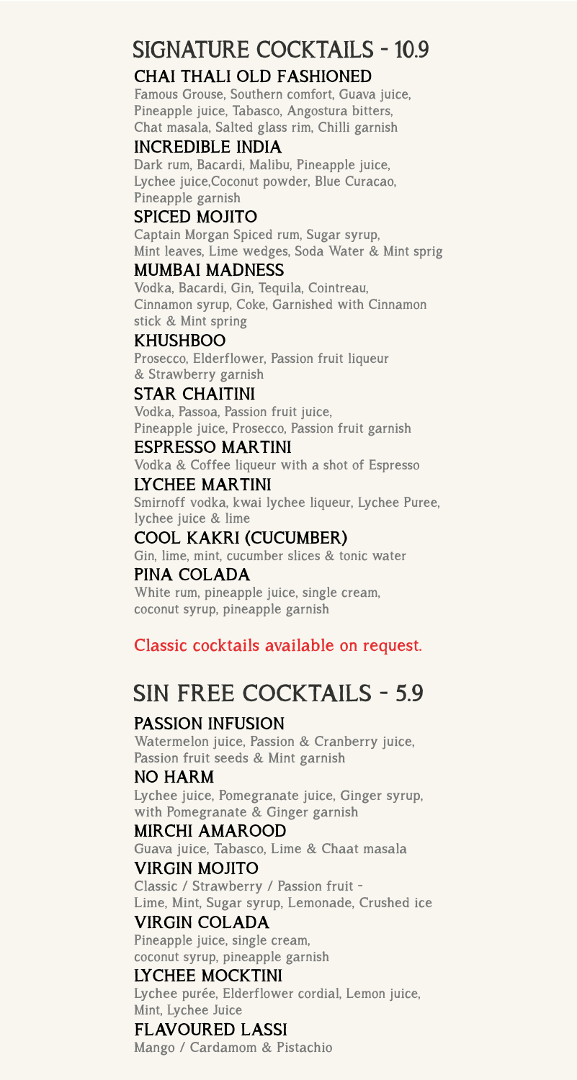# **SIGNATURE COCKTAILS - 10.9**

### **CHAI THALI OLD FASHIONED**

**Famous Grouse, Southern comfort, Guava juice, Pineapple juice, Tabasco, Angostura bitters, Chat masala, Salted glass rim, Chilli garnish** 

#### **INCREDIBLE INDIA**

**Dark rum, Bacardi, Malibu, Pineapple juice, Lychee juice,Coconut powder, Blue Curacao, Pineapple garnish**

#### **SPICED MOJITO**

**Captain Morgan Spiced rum, Sugar syrup, Mint leaves, Lime wedges, Soda Water & Mint sprig**

#### **MUMBAI MADNESS**

**Vodka, Bacardi, Gin, Tequila, Cointreau, Cinnamon syrup, Coke, Garnished with Cinnamon stick & Mint spring**

**KHUSHBOO Prosecco, Elderflower, Passion fruit liqueur & Strawberry garnish**

#### **STAR CHAITINI**

**Vodka, Passoa, Passion fruit juice, Pineapple juice, Prosecco, Passion fruit garnish**

#### **ESPRESSO MARTINI**

**Vodka & Coffee liqueur with a shot of Espresso**

### **LYCHEE MARTINI**

**Smirnoff vodka, kwai lychee liqueur, Lychee Puree, lychee juice & lime**

#### **COOL KAKRI (CUCUMBER)**

**Gin, lime, mint, cucumber slices & tonic water PINA COLADA**

**White rum, pineapple juice, single cream, coconut syrup, pineapple garnish**

### **Classic cocktails available on request.**

## **SIN FREE COCKTAILS - 5.9**

### **PASSION INFUSION**

**Watermelon juice, Passion & Cranberry juice, Passion fruit seeds & Mint garnish**

#### **NO HARM**

**Lychee juice, Pomegranate juice, Ginger syrup, with Pomegranate & Ginger garnish**

#### **MIRCHI AMAROOD**

**Guava juice, Tabasco, Lime & Chaat masala VIRGIN MOJITO**

**Classic / Strawberry / Passion fruit - Lime, Mint, Sugar syrup, Lemonade, Crushed ice**

#### **VIRGIN COLADA**

**Pineapple juice, single cream, coconut syrup, pineapple garnish**

#### **LYCHEE MOCKTINI**

**Lychee purée, Elderflower cordial, Lemon juice, Mint, Lychee Juice**

#### **FLAVOURED LASSI**

**Mango / Cardamom & Pistachio**